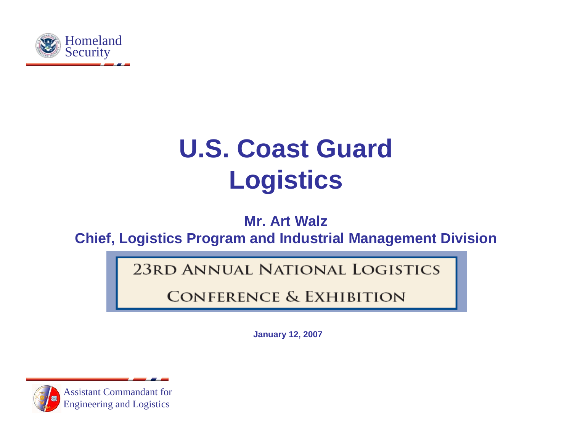

# **U.S. Coast Guard Logistics**

**Mr. Art Walz**

**Chief, Logistics Program and Industrial Management Division**

**23RD ANNUAL NATIONAL LOGISTICS** 

**CONFERENCE & EXHIBITION** 

**January 12, 2007**

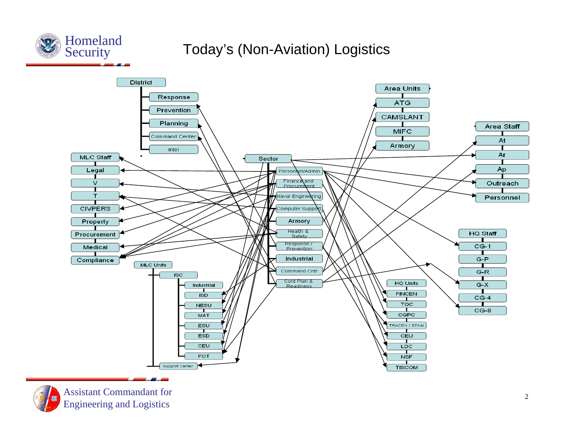

### Today's (Non-Aviation) Logistics



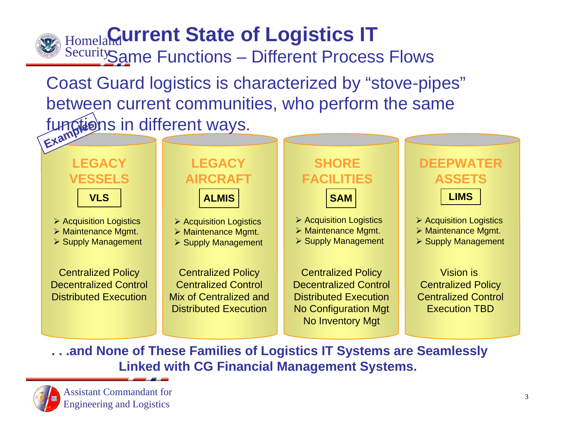# Homeland **Current State of Logistics IT**

Security Same Functions – Different Process Flows

functions in different ways. Coast Guard logistics is characterized by "stove-pipes" between current communities, who perform the same



**. . .and None of These Families of Logistics IT Systems are Seamlessly Linked with CG Financial Management Systems.**

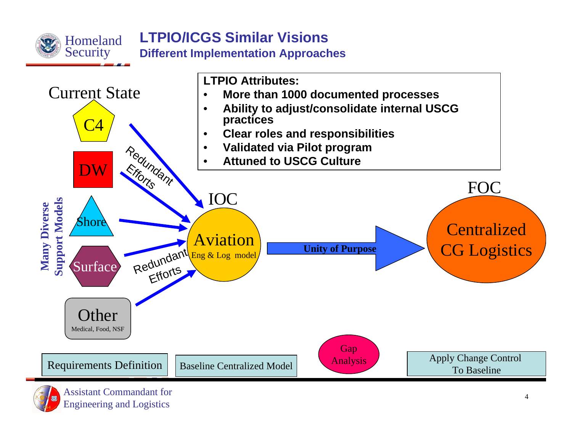

### **LTPIO/ICGS Similar VisionsDifferent Implementation Approaches**

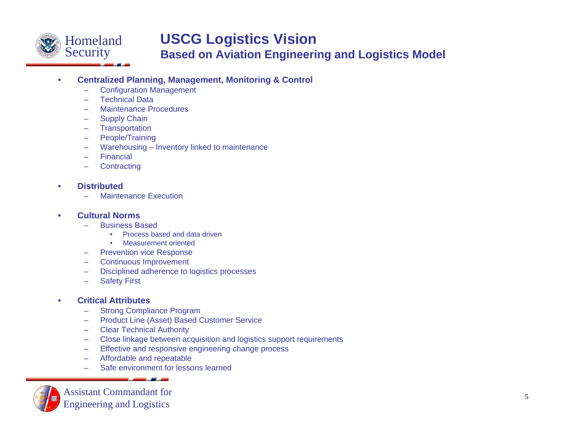

### **USCG Logistics Vision**

**Based on Aviation Engineering and Logistics Model**

#### •**Centralized Planning, Management, Monitoring & Control**

- –Configuration Management
- –Technical Data
- Maintenance Procedures
- –Supply Chain
- –**Transportation**
- –People/Training
- –Warehousing – Inventory linked to maintenance
- –Financial
- **Contracting**

#### •**Distributed**

Maintenance Execution

#### •**Cultural Norms**

- Business Based
	- •Process based and data driven
	- •Measurement oriented
- –Prevention vice Response
- –Continuous Improvement
- –Disciplined adherence to logistics processes
- –Safety First

#### •**Critical Attributes**

- Strong Compliance Program
- –Product Line (Asset) Based Customer Service
- –Clear Technical Authority
- –Close linkage between acquisition and logistics support requirements
- –Effective and responsive engineering change process
- –Affordable and repeatable
- Safe environment for lessons learned

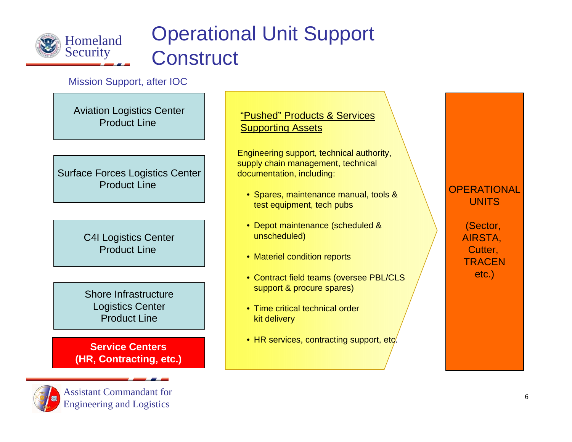

## Operational Unit Support **Construct**

Mission Support, after IOC

Aviation Logistics Center Product Line

Surface Forces Logistics Center Product Line

> C4I Logistics Center Product Line

Shore InfrastructureLogistics Center Product Line

**Service Centers(HR, Contracting, etc.)**



Assistant Commandant forEngineering and Logistics

"Pushed" Products & Services Supporting Assets

Engineering support, technical authority, supply chain management, technical documentation, including:

- Spares, maintenance manual, tools & test equipment, tech pubs
- Depot maintenance (scheduled & unscheduled)
- Materiel condition reports
- Contract field teams (oversee PBL/CLS support & procure spares)
- Time critical technical order kit delivery
- $\bullet\,$  HR services, contracting support, etc.

### **OPERATIONAL UNITS**

(Sector, AIRSTA, Cutter, **TRACEN** etc.)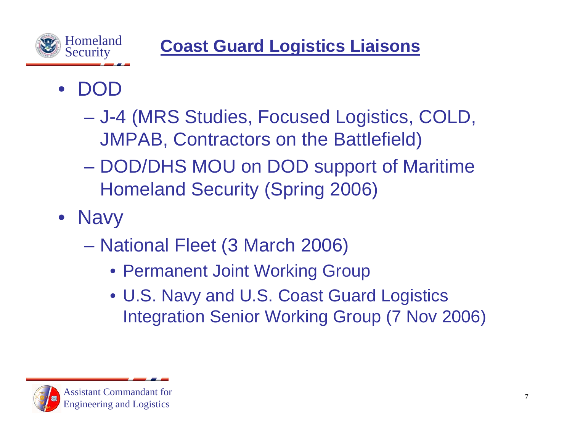

**Coast Guard Logistics Liaisons**

- $\bullet$  $\bf D$ 
	- J-4 (MRS Studies, Focused Logistics, COLD, JMPAB, Contractors on the Battlefield)
	- DOD/DHS MOU on DOD support of Maritime Homeland Security (Spring 2006)
- Navy
	- National Fleet (3 March 2006)
		- Permanent Joint Working Group
		- U.S. Navy and U.S. Coast Guard Logistics Integration Senior Working Group (7 Nov 2006)